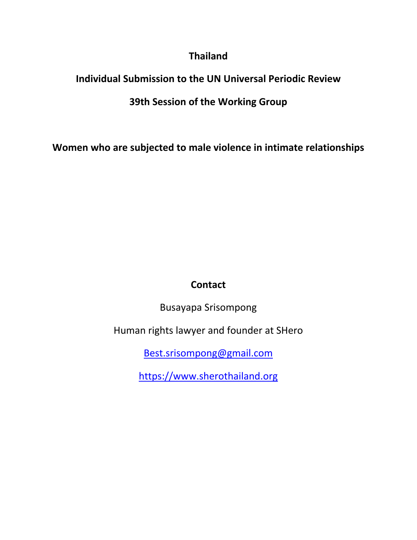### **Thailand**

## **Individual Submission to the UN Universal Periodic Review**

## **39th Session of the Working Group**

**Women who are subjected to male violence in intimate relationships**

# **Contact**

Busayapa Srisompong

Human rights lawyer and founder at SHero

[Best.srisompong@gmail.com](mailto:Best.srisompong@gmail.com)

<https://www.sherothailand.org>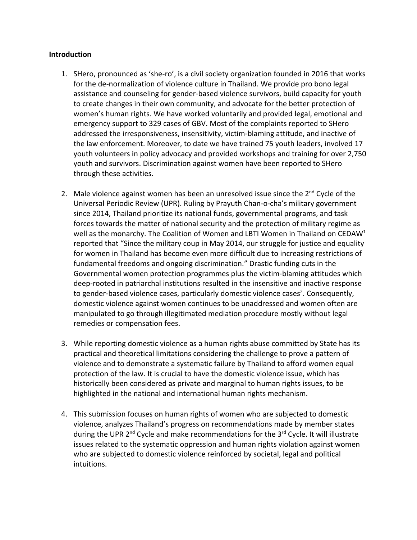#### **Introduction**

- 1. SHero, pronounced as 'she-ro', is <sup>a</sup> civil society organization founded in 2016 that works for the de-normalization of violence culture in Thailand. We provide pro bono legal assistance and counseling for gender-based violence survivors, build capacity for youth to create changes in their own community, and advocate for the better protection of women'<sup>s</sup> human rights. We have worked voluntarily and provided legal, emotional and emergency support to 329 cases of GBV. Most of the complaints reported to SHero addressed the irresponsiveness, insensitivity, victim-blaming attitude, and inactive of the law enforcement. Moreover, to date we have trained 75 youth leaders, involved 17 youth volunteers in policy advocacy and provided workshops and training for over 2,750 youth and survivors. Discrimination against women have been reported to SHero through these activities.
- 2. Male violence against women has been an unresolved issue since the 2<sup>nd</sup> Cycle of the Universal Periodic Review (UPR). Ruling by Prayuth Chan-o-cha'<sup>s</sup> military government since 2014, Thailand prioritize its national funds, governmental programs, and task forces towards the matter of national security and the protection of military regime as well as the monarchy. The Coalition of Women and LBTI Women in Thailand on CEDAW<sup>1</sup> reported that "Since the military coup in May 2014, our struggle for justice and equality for women in Thailand has become even more difficult due to increasing restrictions of fundamental freedoms and ongoing discrimination." Drastic funding cuts in the Governmental women protection programmes plus the victim-blaming attitudes which deep-rooted in patriarchal institutions resulted in the insensitive and inactive response to gender-based violence cases, particularly domestic violence cases 2 . Consequently, domestic violence against women continues to be unaddressed and women often are manipulated to go through illegitimated mediation procedure mostly without legal remedies or compensation fees.
- 3. While reporting domestic violence as <sup>a</sup> human rights abuse committed by State has its practical and theoretical limitations considering the challenge to prove <sup>a</sup> pattern of violence and to demonstrate <sup>a</sup> systematic failure by Thailand to afford women equal protection of the law. It is crucial to have the domestic violence issue, which has historically been considered as private and marginal to human rights issues, to be highlighted in the national and international human rights mechanism.
- 4. This submission focuses on human rights of women who are subjected to domestic violence, analyzes Thailand'<sup>s</sup> progress on recommendations made by member states during the UPR 2<sup>nd</sup> Cycle and make recommendations for the 3<sup>rd</sup> Cycle. It will illustrate issues related to the systematic oppression and human rights violation against women who are subjected to domestic violence reinforced by societal, legal and political intuitions.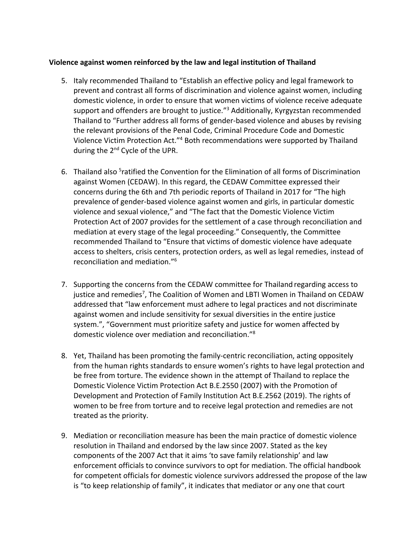### **Violence against women reinforced by the law and legal institution of Thailand**

- 5. Italy recommended Thailand to "Establish an effective policy and legal framework to prevent and contrast all forms of discrimination and violence against women, including domestic violence, in order to ensure that women victims of violence receive adequate support and offenders are brought to justice." 3 Additionally, Kyrgyzstan recommended Thailand to "Further address all forms of gender-based violence and abuses by revising the relevant provisions of the Penal Code, Criminal Procedure Code and Domestic Violence Victim Protection Act."<sup>4</sup> Both recommendations were supported by Thailand during the 2<sup>nd</sup> Cycle of the UPR.
- 6. Thailand also <sup>5</sup>ratified the Convention for the Elimination of all forms of Discrimination against Women (CEDAW). In this regard, the CEDAW Committee expressed their concerns during the 6th and 7th periodic reports of Thailand in 2017 for "The high prevalence of gender-based violence against women and girls, in particular domestic violence and sexual violence," and "The fact that the Domestic Violence Victim Protection Act of 2007 provides for the settlement of <sup>a</sup> case through reconciliation and mediation at every stage of the legal proceeding." Consequently, the Committee recommended Thailand to "Ensure that victims of domestic violence have adequate access to shelters, crisis centers, protection orders, as well as legal remedies, instead of reconciliation and mediation." 6
- 7. Supporting the concerns from the CEDAW committee for Thailand regarding access to justice and remedies<sup>7</sup>, The Coalition of Women and LBTI Women in Thailand on CEDAW addressed that "law enforcement must adhere to legal practices and not discriminate against women and include sensitivity for sexual diversities in the entire justice system.", "Government must prioritize safety and justice for women affected by domestic violence over mediation and reconciliation."<sup>8</sup>
- 8. Yet, Thailand has been promoting the family-centric reconciliation, acting oppositely from the human rights standards to ensure women'<sup>s</sup> rights to have legal protection and be free from torture. The evidence shown in the attempt of Thailand to replace the Domestic Violence Victim Protection Act B.E.2550 (2007) with the Promotion of Development and Protection of Family Institution Act B.E.2562 (2019). The rights of women to be free from torture and to receive legal protection and remedies are not treated as the priority.
- 9. Mediation or reconciliation measure has been the main practice of domestic violence resolution in Thailand and endorsed by the law since 2007. Stated as the key components of the 2007 Act that it aims 'to save family relationship' and law enforcement officials to convince survivors to opt for mediation. The official handbook for competent officials for domestic violence survivors addressed the propose of the law is "to keep relationship of family", it indicates that mediator or any one that court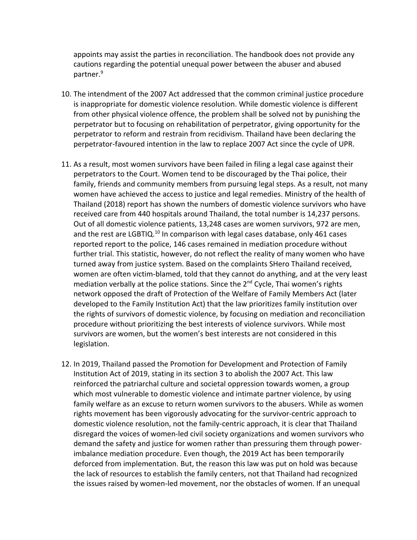appoints may assist the parties in reconciliation. The handbook does not provide any cautions regarding the potential unequal power between the abuser and abused partner. 9

- 10. The intendment of the 2007 Act addressed that the common criminal justice procedure is inappropriate for domestic violence resolution. While domestic violence is different from other physical violence offence, the problem shall be solved not by punishing the perpetrator but to focusing on rehabilitation of perpetrator, giving opportunity for the perpetrator to reform and restrain from recidivism. Thailand have been declaring the perpetrator-favoured intention in the law to replace 2007 Act since the cycle of UPR.
- 11. As <sup>a</sup> result, most women survivors have been failed in filing <sup>a</sup> legal case against their perpetrators to the Court. Women tend to be discouraged by the Thai police, their family, friends and community members from pursuing legal steps. As <sup>a</sup> result, not many women have achieved the access to justice and legal remedies. Ministry of the health of Thailand (2018) report has shown the numbers of domestic violence survivors who have received care from 440 hospitals around Thailand, the total number is 14,237 persons. Out of all domestic violence patients, 13,248 cases are women survivors, 972 are men, and the rest are LGBTIQ.<sup>10</sup> In comparison with legal cases database, only 461 cases reported report to the police, 146 cases remained in mediation procedure without further trial. This statistic, however, do not reflect the reality of many women who have turned away from justice system. Based on the complaints SHero Thailand received, women are often victim-blamed, told that they cannot do anything, and at the very least mediation verbally at the police stations. Since the 2<sup>nd</sup> Cycle, Thai women's rights network opposed the draft of Protection of the Welfare of Family Members Act (later developed to the Family Institution Act) that the law prioritizes family institution over the rights of survivors of domestic violence, by focusing on mediation and reconciliation procedure without prioritizing the best interests of violence survivors. While most survivors are women, but the women'<sup>s</sup> best interests are not considered in this legislation.
- 12. In 2019, Thailand passed the Promotion for Development and Protection of Family Institution Act of 2019, stating in its section 3 to abolish the 2007 Act. This law reinforced the patriarchal culture and societal oppression towards women, <sup>a</sup> group which most vulnerable to domestic violence and intimate partner violence, by using family welfare as an excuse to return women survivors to the abusers. While as women rights movement has been vigorously advocating for the survivor-centric approach to domestic violence resolution, not the family-centric approach, it is clear that Thailand disregard the voices of women-led civil society organizations and women survivors who demand the safety and justice for women rather than pressuring them through powerimbalance mediation procedure. Even though, the 2019 Act has been temporarily deforced from implementation. But, the reason this law was put on hold was because the lack of resources to establish the family centers, not that Thailand had recognized the issues raised by women-led movement, nor the obstacles of women. If an unequal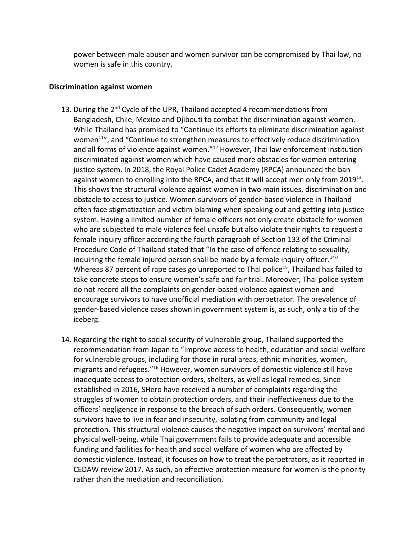power between male abuser and women survivor can be compromised by Thai law, no women is safe in this country.

#### **Discrimination against women**

- 13. During the 2<sup>nd</sup> Cycle of the UPR, Thailand accepted 4 recommendations from Bangladesh, Chile, Mexico and Djibouti to combat the discrimination against women. While Thailand has promised to "Continue its efforts to eliminate discrimination against women<sup>11</sup>", and "Continue to strengthen measures to effectively reduce discrimination and all forms of violence against women."<sup>12</sup> However, Thai law enforcement institution discriminated against women which have caused more obstacles for women entering justice system. In 2018, the Royal Police Cadet Academy (RPCA) announced the ban against women to enrolling into the RPCA, and that it will accept men only from 2019 $^{13}$ . This shows the structural violence against women in two main issues, discrimination and obstacle to access to justice. Women survivors of gender-based violence in Thailand often face stigmatization and victim-blaming when speaking out and getting into justice system. Having <sup>a</sup> limited number of female officers not only create obstacle for women who are subjected to male violence feel unsafe but also violate their rights to request <sup>a</sup> female inquiry officer according the fourth paragraph of Section 133 of the Criminal Procedure Code of Thailand stated that "In the case of offence relating to sexuality, inquiring the female injured person shall be made by a female inquiry officer.<sup>14</sup>" Whereas 87 percent of rape cases go unreported to Thai police<sup>15</sup>, Thailand has failed to take concrete steps to ensure women'<sup>s</sup> safe and fair trial. Moreover, Thai police system do not record all the complaints on gender-based violence against women and encourage survivors to have unofficial mediation with perpetrator. The prevalence of gender-based violence cases shown in government system is, as such, only <sup>a</sup> tip of the iceberg.
- 14. Regarding the right to social security of vulnerable group, Thailand supported the recommendation from Japan to "Improve access to health, education and social welfare for vulnerable groups, including for those in rural areas, ethnic minorities, women, migrants and refugees."<sup>16</sup> However, women survivors of domestic violence still have inadequate access to protection orders, shelters, as well as legal remedies. Since established in 2016, SHero have received <sup>a</sup> number of complaints regarding the struggles of women to obtain protection orders, and their ineffectiveness due to the officers' negligence in response to the breach of such orders. Consequently, women survivors have to live in fear and insecurity, isolating from community and legal protection. This structural violence causes the negative impact on survivors' mental and physical well-being, while Thai government fails to provide adequate and accessible funding and facilities for health and social welfare of women who are affected by domestic violence. Instead, it focuses on how to treat the perpetrators, as it reported in CEDAW review 2017. As such, an effective protection measure for women is the priority rather than the mediation and reconciliation.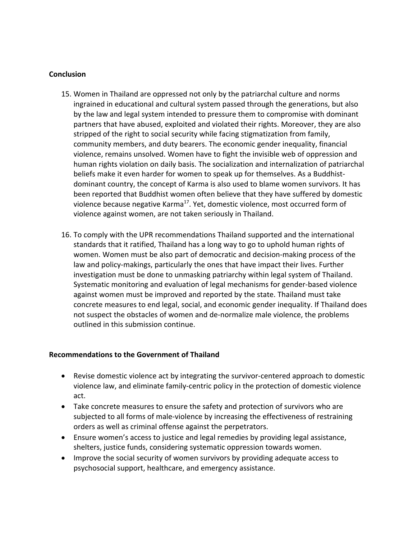#### **Conclusion**

- 15. Women in Thailand are oppressed not only by the patriarchal culture and norms ingrained in educational and cultural system passed through the generations, but also by the law and legal system intended to pressure them to compromise with dominant partners that have abused, exploited and violated their rights. Moreover, they are also stripped of the right to social security while facing stigmatization from family, community members, and duty bearers. The economic gender inequality, financial violence, remains unsolved. Women have to fight the invisible web of oppression and human rights violation on daily basis. The socialization and internalization of patriarchal beliefs make it even harder for women to speak up for themselves. As <sup>a</sup> Buddhistdominant country, the concept of Karma is also used to blame women survivors. It has been reported that Buddhist women often believe that they have suffered by domestic violence because negative Karma<sup>17</sup>. Yet, domestic violence, most occurred form of violence against women, are not taken seriously in Thailand.
- 16. To comply with the UPR recommendations Thailand supported and the international standards that it ratified, Thailand has <sup>a</sup> long way to go to uphold human rights of women. Women must be also part of democratic and decision-making process of the law and policy-makings, particularly the ones that have impact their lives. Further investigation must be done to unmasking patriarchy within legal system of Thailand. Systematic monitoring and evaluation of legal mechanisms for gender-based violence against women must be improved and reported by the state. Thailand must take concrete measures to end legal, social, and economic gender inequality. If Thailand does not suspect the obstacles of women and de-normalize male violence, the problems outlined in this submission continue.

### **Recommendations to the Government of Thailand**

- Revise domestic violence act by integrating the survivor-centered approach to domestic violence law, and eliminate family-centric policy in the protection of domestic violence act.
- Take concrete measures to ensure the safety and protection of survivors who are subjected to all forms of male-violence by increasing the effectiveness of restraining orders as well as criminal offense against the perpetrators.
- Ensure women'<sup>s</sup> access to justice and legal remedies by providing legal assistance, shelters, justice funds, considering systematic oppression towards women.
- Improve the social security of women survivors by providing adequate access to psychosocial support, healthcare, and emergency assistance.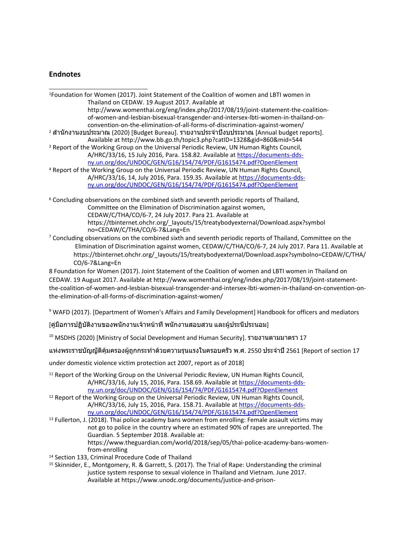#### **Endnotes**

1 Foundation for Women (2017). Joint Statement of the Coalition of women and LBTI women in Thailand on CEDAW. 19 August 2017. Available at http://www.womenthai.org/eng/index.php/2017/08/19/joint-statement-the-coalitionof-women-and-lesbian-bisexual-transgender-and-intersex-lbti-women-in-thailand-onconvention-on-the-elimination-of-all-forms-of-discrimination-against-women/ <sup>2</sup> สำนักงานงบประมาณ (2020) [Budget Bureau]. รายงานประจำปีงบประมาณ [Annual budget reports]. Available at http://www.bb.go.th/topic3.php?catID=1328&gid=860&mid=544 <sup>3</sup> Report of the Working Group on the Universal Periodic Review, UN Human Rights Council, A/HRC/33/16, 15 July 2016, Para. 158.82. Available at [https://documents-dds](https://documents-dds-ny.un.org/doc/UNDOC/GEN/G16/154/74/PDF/G1615474.pdf?OpenElement)[ny.un.org/doc/UNDOC/GEN/G16/154/74/PDF/G1615474.pdf?OpenElement](https://documents-dds-ny.un.org/doc/UNDOC/GEN/G16/154/74/PDF/G1615474.pdf?OpenElement) <sup>4</sup> Report of the Working Group on the Universal Periodic Review, UN Human Rights Council, A/HRC/33/16, 14, July 2016, Para. 159.35. Available at [https://documents-dds](https://documents-dds-ny.un.org/doc/UNDOC/GEN/G16/154/74/PDF/G1615474.pdf?OpenElement)[ny.un.org/doc/UNDOC/GEN/G16/154/74/PDF/G1615474.pdf?OpenElement](https://documents-dds-ny.un.org/doc/UNDOC/GEN/G16/154/74/PDF/G1615474.pdf?OpenElement) <sup>6</sup> Concluding observations on the combined sixth and seventh periodic reports of Thailand, Committee on the Elimination of Discrimination against women, CEDAW/C/THA/CO/6-7, 24 July 2017. Para 21. Available at https://tbinternet.ohchr.org/\_layouts/15/treatybodyexternal/Download.aspx?symbol no=CEDAW/C/THA/CO/6-7&Lang=En

<sup>7</sup> Concluding observations on the combined sixth and seventh periodic reports of Thailand, Committee on the Elimination of Discrimination against women, CEDAW/C/THA/CO/6-7, 24 July 2017. Para 11. Available at https://tbinternet.ohchr.org/\_layouts/15/treatybodyexternal/Download.aspx?symbolno=CEDAW/C/THA/ CO/6-7&Lang=En

8 Foundation for Women (2017). Joint Statement of the Coalition of women and LBTI women in Thailand on CEDAW. 19 August 2017. Available at http://www.womenthai.org/eng/index.php/2017/08/19/joint-statementthe-coalition-of-women-and-lesbian-bisexual-transgender-and-intersex-lbti-women-in-thailand-on-convention-onthe-elimination-of-all-forms-of-discrimination-against-women/

<sup>9</sup> WAFD (2017). [Department of Women's Affairs and Family Development] Handbook for officers and mediators

[คู่มือการปฏิบัติงานของพนักงานเจ้าหน้าที่ พนักงานสอบสวน และผู้ประนีประนอม]

<sup>10</sup> MSDHS (2020) [Ministry of Social Development and Human Security]. รายงานตามมาตรา <sup>17</sup>

แห่งพระราชบัญญัติคุ้มครองผู้ถูกกระทำด้วยความรุนแรงในครอบครัว <sup>พ</sup>.ศ. <sup>2550</sup> ประจำปี<sup>2561</sup> [Report of section <sup>17</sup>

under domestic violence victim protection act 2007, report as of 2018]

- <sup>11</sup> Report of the Working Group on the Universal Periodic Review, UN Human Rights Council, A/HRC/33/16, July 15, 2016, Para. 158.69. Available at [https://documents-dds](https://documents-dds-ny.un.org/doc/UNDOC/GEN/G16/154/74/PDF/G1615474.pdf?OpenElement)[ny.un.org/doc/UNDOC/GEN/G16/154/74/PDF/G1615474.pdf?OpenElement](https://documents-dds-ny.un.org/doc/UNDOC/GEN/G16/154/74/PDF/G1615474.pdf?OpenElement)
- <sup>12</sup> Report of the Working Group on the Universal Periodic Review, UN Human Rights Council, A/HRC/33/16, July 15, 2016, Para. 158.71. Available at [https://documents-dds](https://documents-dds-ny.un.org/doc/UNDOC/GEN/G16/154/74/PDF/G1615474.pdf?OpenElement)[ny.un.org/doc/UNDOC/GEN/G16/154/74/PDF/G1615474.pdf?OpenElement](https://documents-dds-ny.un.org/doc/UNDOC/GEN/G16/154/74/PDF/G1615474.pdf?OpenElement)
- <sup>13</sup> Fullerton, J. (2018). Thai police academy bans women from enrolling: Female assault victims may not go to police in the country where an estimated 90% of rapes are unreported. The Guardian. 5 September 2018. Available at: https://www.theguardian.com/world/2018/sep/05/thai-police-academy-bans-womenfrom-enrolling
- 14 Section 133, Criminal Procedure Code of Thailand
- 15 Skinnider, E., Montgomery, R. & Garrett, S. (2017). The Trial of Rape: Understanding the criminal justice system response to sexual violence in Thailand and Vietnam. June 2017. Available at https://www.unodc.org/documents/justice-and-prison-